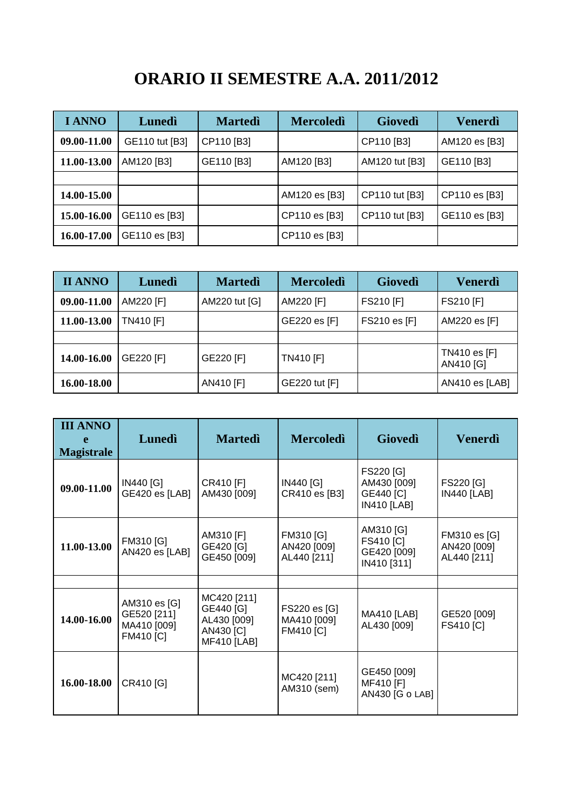## **ORARIO II SEMESTRE A.A. 2011/2012**

| <b>I ANNO</b> | Lunedì         | <b>Martedì</b> | <b>Mercoledì</b> | <b>Giovedì</b> | Venerdì       |
|---------------|----------------|----------------|------------------|----------------|---------------|
| 09.00-11.00   | GE110 tut [B3] | CP110 [B3]     |                  | CP110 [B3]     | AM120 es [B3] |
| 11.00-13.00   | AM120 [B3]     | GE110 [B3]     | AM120 [B3]       | AM120 tut [B3] | GE110 [B3]    |
|               |                |                |                  |                |               |
| 14.00-15.00   |                |                | AM120 es [B3]    | CP110 tut [B3] | CP110 es [B3] |
| 15.00-16.00   | GE110 es [B3]  |                | CP110 es [B3]    | CP110 tut [B3] | GE110 es [B3] |
| 16.00-17.00   | GE110 es [B3]  |                | CP110 es [B3]    |                |               |

| <b>II ANNO</b> | Lunedì           | <b>Martedì</b> | <b>Mercoledì</b> | Giovedì      | Venerdì                   |
|----------------|------------------|----------------|------------------|--------------|---------------------------|
| 09.00-11.00    | AM220 [F]        | AM220 tut [G]  | AM220 [F]        | FS210 [F]    | FS210 [F]                 |
| 11.00-13.00    | <b>TN410 [F]</b> |                | GE220 es [F]     | FS210 es [F] | AM220 es [F]              |
|                |                  |                |                  |              |                           |
| 14.00-16.00    | GE220 [F]        | GE220 [F]      | <b>TN410 [F]</b> |              | TN410 es [F]<br>AN410 [G] |
| 16.00-18.00    |                  | AN410 [F]      | GE220 tut [F]    |              | AN410 es [LAB]            |

| <b>III ANNO</b><br><b>Magistrale</b> | Lunedì                                                         | <b>Martedi</b>                                                             | <b>Mercoledì</b>                                | <b>Giovedì</b>                                              | <b>Venerdì</b>                             |
|--------------------------------------|----------------------------------------------------------------|----------------------------------------------------------------------------|-------------------------------------------------|-------------------------------------------------------------|--------------------------------------------|
| 09.00-11.00                          | IN440 [G]<br>GE420 es [LAB]                                    | CR410 [F]<br>AM430 [009]                                                   | IN440 [G]<br>CR410 es [B3]                      | FS220 [G]<br>AM430 [009]<br>GE440 [C]<br><b>IN410 [LAB]</b> | FS220 [G]<br><b>IN440 [LAB]</b>            |
| 11.00-13.00                          | FM310 [G]<br>AN420 es [LAB]                                    | AM310 [F]<br>GE420 [G]<br>GE450 [009]                                      | FM310 [G]<br>AN420 [009]<br>AL440 [211]         | AM310 [G]<br>FS410 [C]<br>GE420 [009]<br>IN410 [311]        | FM310 es [G]<br>AN420 [009]<br>AL440 [211] |
|                                      |                                                                |                                                                            |                                                 |                                                             |                                            |
| 14.00-16.00                          | AM310 es [G]<br>GE520 [211]<br>MA410 [009]<br><b>FM410 [C]</b> | MC420 [211]<br>GE440 [G]<br>AL430 [009]<br>AN430 [C]<br><b>MF410 [LAB]</b> | FS220 es [G]<br>MA410 [009]<br><b>FM410 [C]</b> | <b>MA410 [LAB]</b><br>AL430 [009]                           | GE520 [009]<br><b>FS410 [C]</b>            |
| 16.00-18.00                          | CR410 [G]                                                      |                                                                            | MC420 [211]<br>AM310 (sem)                      | GE450 [009]<br>MF410 [F]<br>AN430 [G o LAB]                 |                                            |